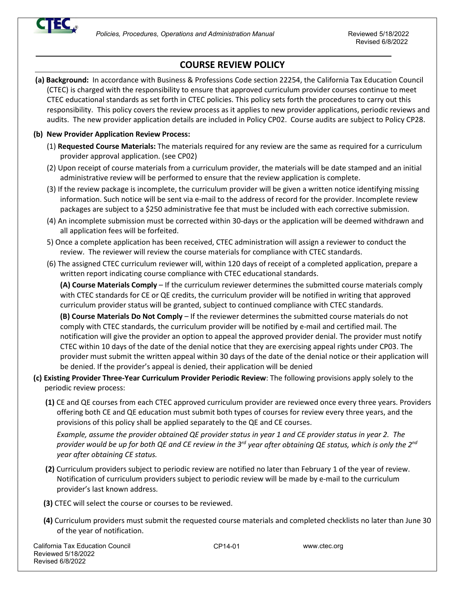

# **COURSE REVIEW POLICY**

**(a) Background:** In accordance with Business & Professions Code section 22254, the California Tax Education Council (CTEC) is charged with the responsibility to ensure that approved curriculum provider courses continue to meet CTEC educational standards as set forth in CTEC policies. This policy sets forth the procedures to carry out this responsibility. This policy covers the review process as it applies to new provider applications, periodic reviews and audits. The new provider application details are included in Policy CP02. Course audits are subject to Policy CP28.

### **(b) New Provider Application Review Process:**

- (1) **Requested Course Materials:** The materials required for any review are the same as required for a curriculum provider approval application. (see CP02)
- (2) Upon receipt of course materials from a curriculum provider, the materials will be date stamped and an initial administrative review will be performed to ensure that the review application is complete.
- (3) If the review package is incomplete, the curriculum provider will be given a written notice identifying missing information. Such notice will be sent via e-mail to the address of record for the provider. Incomplete review packages are subject to a \$250 administrative fee that must be included with each corrective submission.
- (4) An incomplete submission must be corrected within 30-days or the application will be deemed withdrawn and all application fees will be forfeited.
- 5) Once a complete application has been received, CTEC administration will assign a reviewer to conduct the review. The reviewer will review the course materials for compliance with CTEC standards.
- (6) The assigned CTEC curriculum reviewer will, within 120 days of receipt of a completed application, prepare a written report indicating course compliance with CTEC educational standards.

**(A) Course Materials Comply** – If the curriculum reviewer determines the submitted course materials comply with CTEC standards for CE or QE credits, the curriculum provider will be notified in writing that approved curriculum provider status will be granted, subject to continued compliance with CTEC standards.

**(B) Course Materials Do Not Comply** – If the reviewer determines the submitted course materials do not comply with CTEC standards, the curriculum provider will be notified by e-mail and certified mail. The notification will give the provider an option to appeal the approved provider denial. The provider must notify CTEC within 10 days of the date of the denial notice that they are exercising appeal rights under CP03. The provider must submit the written appeal within 30 days of the date of the denial notice or their application will be denied. If the provider's appeal is denied, their application will be denied

- **(c) Existing Provider Three-Year Curriculum Provider Periodic Review**: The following provisions apply solely to the periodic review process:
	- **(1)** CE and QE courses from each CTEC approved curriculum provider are reviewed once every three years. Providers offering both CE and QE education must submit both types of courses for review every three years, and the provisions of this policy shall be applied separately to the QE and CE courses.

*Example, assume the provider obtained QE provider status in year 1 and CE provider status in year 2. The provider would be up for both QE and CE review in the 3rd year after obtaining QE status, which is only the 2nd year after obtaining CE status.*

- **(2)** Curriculum providers subject to periodic review are notified no later than February 1 of the year of review. Notification of curriculum providers subject to periodic review will be made by e-mail to the curriculum provider's last known address.
- **(3)** CTEC will select the course or courses to be reviewed.
- **(4)** Curriculum providers must submit the requested course materials and completed checklists no later than June 30 of the year of notification.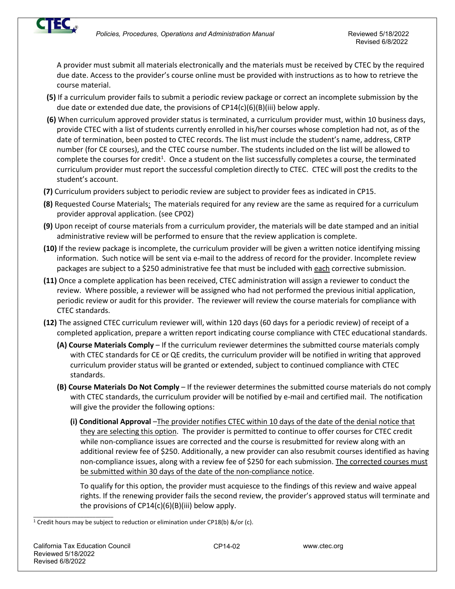

A provider must submit all materials electronically and the materials must be received by CTEC by the required due date. Access to the provider's course online must be provided with instructions as to how to retrieve the course material.

- **(5)** If a curriculum provider fails to submit a periodic review package or correct an incomplete submission by the due date or extended due date, the provisions of  $CP14(c)(6)(B)(iii)$  below apply.
- **(6)** When curriculum approved provider status is terminated, a curriculum provider must, within 10 business days, provide CTEC with a list of students currently enrolled in his/her courses whose completion had not, as of the date of termination, been posted to CTEC records. The list must include the student's name, address, CRTP number (for CE courses), and the CTEC course number. The students included on the list will be allowed to complete the courses for credit<sup>1</sup>. Once a student on the list successfully completes a course, the terminated curriculum provider must report the successful completion directly to CTEC. CTEC will post the credits to the student's account.
- **(7)** Curriculum providers subject to periodic review are subject to provider fees as indicated in CP15.
- **(8)** Requested Course Materials: The materials required for any review are the same as required for a curriculum provider approval application. (see CP02)
- **(9)** Upon receipt of course materials from a curriculum provider, the materials will be date stamped and an initial administrative review will be performed to ensure that the review application is complete.
- **(10)** If the review package is incomplete, the curriculum provider will be given a written notice identifying missing information. Such notice will be sent via e-mail to the address of record for the provider. Incomplete review packages are subject to a \$250 administrative fee that must be included with each corrective submission.
- **(11)** Once a complete application has been received, CTEC administration will assign a reviewer to conduct the review. Where possible, a reviewer will be assigned who had not performed the previous initial application, periodic review or audit for this provider. The reviewer will review the course materials for compliance with CTEC standards.
- **(12)** The assigned CTEC curriculum reviewer will, within 120 days (60 days for a periodic review) of receipt of a completed application, prepare a written report indicating course compliance with CTEC educational standards.
	- **(A) Course Materials Comply** If the curriculum reviewer determines the submitted course materials comply with CTEC standards for CE or QE credits, the curriculum provider will be notified in writing that approved curriculum provider status will be granted or extended, subject to continued compliance with CTEC standards.
	- **(B) Course Materials Do Not Comply** If the reviewer determines the submitted course materials do not comply with CTEC standards, the curriculum provider will be notified by e-mail and certified mail. The notification will give the provider the following options:
		- **(i) Conditional Approval** –The provider notifies CTEC within 10 days of the date of the denial notice that they are selecting this option. The provider is permitted to continue to offer courses for CTEC credit while non-compliance issues are corrected and the course is resubmitted for review along with an additional review fee of \$250. Additionally, a new provider can also resubmit courses identified as having non-compliance issues, along with a review fee of \$250 for each submission. The corrected courses must be submitted within 30 days of the date of the non-compliance notice.

To qualify for this option, the provider must acquiesce to the findings of this review and waive appeal rights. If the renewing provider fails the second review, the provider's approved status will terminate and the provisions of  $CP14(c)(6)(B)(iii)$  below apply.

<sup>1</sup> Credit hours may be subject to reduction or elimination under CP18(b) &/or (c).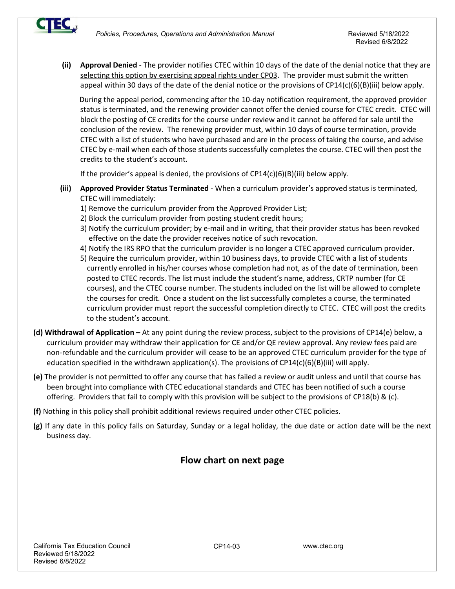

**(ii) Approval Denied** - The provider notifies CTEC within 10 days of the date of the denial notice that they are selecting this option by exercising appeal rights under CP03. The provider must submit the written appeal within 30 days of the date of the denial notice or the provisions of CP14(c)(6)(B)(iii) below apply.

 During the appeal period, commencing after the 10-day notification requirement, the approved provider status is terminated, and the renewing provider cannot offer the denied course for CTEC credit. CTEC will block the posting of CE credits for the course under review and it cannot be offered for sale until the conclusion of the review. The renewing provider must, within 10 days of course termination, provide CTEC with a list of students who have purchased and are in the process of taking the course, and advise CTEC by e-mail when each of those students successfully completes the course. CTEC will then post the credits to the student's account.

If the provider's appeal is denied, the provisions of  $CP14(c)(6)(B)(iii)$  below apply.

- **(iii) Approved Provider Status Terminated** When a curriculum provider's approved status is terminated, CTEC will immediately:
	- 1) Remove the curriculum provider from the Approved Provider List;
	- 2) Block the curriculum provider from posting student credit hours;
	- 3) Notify the curriculum provider; by e-mail and in writing, that their provider status has been revoked effective on the date the provider receives notice of such revocation.
	- 4) Notify the IRS RPO that the curriculum provider is no longer a CTEC approved curriculum provider.
	- 5) Require the curriculum provider, within 10 business days, to provide CTEC with a list of students currently enrolled in his/her courses whose completion had not, as of the date of termination, been posted to CTEC records. The list must include the student's name, address, CRTP number (for CE courses), and the CTEC course number. The students included on the list will be allowed to complete the courses for credit. Once a student on the list successfully completes a course, the terminated curriculum provider must report the successful completion directly to CTEC. CTEC will post the credits to the student's account.
- **(d) Withdrawal of Application** At any point during the review process, subject to the provisions of CP14(e) below, a curriculum provider may withdraw their application for CE and/or QE review approval. Any review fees paid are non-refundable and the curriculum provider will cease to be an approved CTEC curriculum provider for the type of education specified in the withdrawn application(s). The provisions of  $CP14(c)(6)(B)(iii)$  will apply.
- **(e)** The provider is not permitted to offer any course that has failed a review or audit unless and until that course has been brought into compliance with CTEC educational standards and CTEC has been notified of such a course offering. Providers that fail to comply with this provision will be subject to the provisions of CP18(b) & (c).
- **(f)** Nothing in this policy shall prohibit additional reviews required under other CTEC policies.
- **(g)** If any date in this policy falls on Saturday, Sunday or a legal holiday, the due date or action date will be the next business day.

# **Flow chart on next page**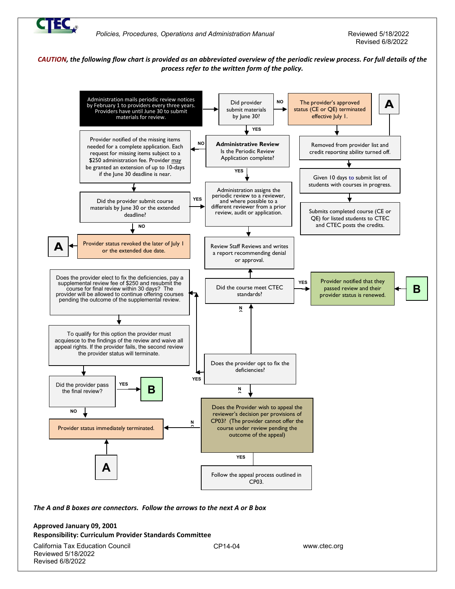

### *CAUTION, the following flow chart is provided as an abbreviated overview of the periodic review process. For full details of the process refer to the written form of the policy.*



*The A and B boxes are connectors. Follow the arrows to the next A or B box*

### **Approved January 09, 2001 Responsibility: Curriculum Provider Standards Committee**